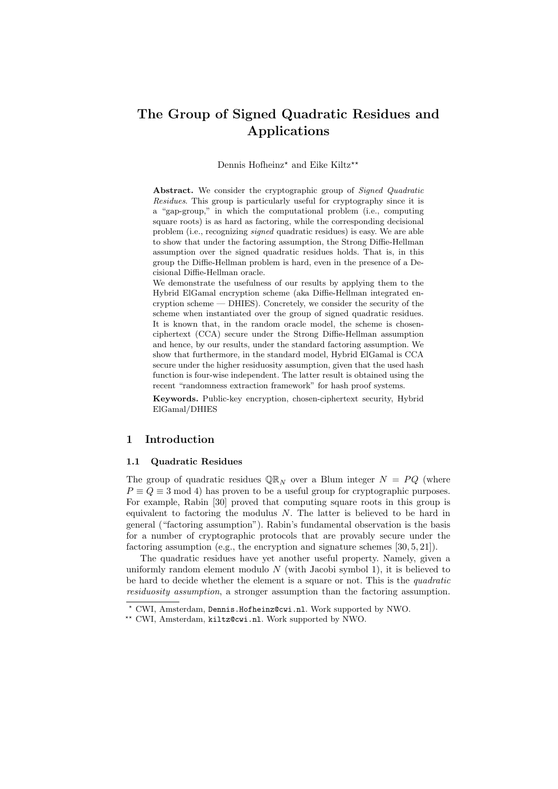# The Group of Signed Quadratic Residues and Applications

#### Dennis Hofheinz<sup>\*</sup> and Eike Kiltz<sup>\*\*</sup>

Abstract. We consider the cryptographic group of Signed Quadratic Residues. This group is particularly useful for cryptography since it is a "gap-group," in which the computational problem (i.e., computing square roots) is as hard as factoring, while the corresponding decisional problem (i.e., recognizing signed quadratic residues) is easy. We are able to show that under the factoring assumption, the Strong Diffie-Hellman assumption over the signed quadratic residues holds. That is, in this group the Diffie-Hellman problem is hard, even in the presence of a Decisional Diffie-Hellman oracle.

We demonstrate the usefulness of our results by applying them to the Hybrid ElGamal encryption scheme (aka Diffie-Hellman integrated encryption scheme — DHIES). Concretely, we consider the security of the scheme when instantiated over the group of signed quadratic residues. It is known that, in the random oracle model, the scheme is chosenciphertext (CCA) secure under the Strong Diffie-Hellman assumption and hence, by our results, under the standard factoring assumption. We show that furthermore, in the standard model, Hybrid ElGamal is CCA secure under the higher residuosity assumption, given that the used hash function is four-wise independent. The latter result is obtained using the recent "randomness extraction framework" for hash proof systems.

Keywords. Public-key encryption, chosen-ciphertext security, Hybrid ElGamal/DHIES

# 1 Introduction

#### 1.1 Quadratic Residues

The group of quadratic residues  $\mathbb{QR}_N$  over a Blum integer  $N = PQ$  (where  $P \equiv Q \equiv 3 \mod 4$  has proven to be a useful group for cryptographic purposes. For example, Rabin [30] proved that computing square roots in this group is equivalent to factoring the modulus  $N$ . The latter is believed to be hard in general ("factoring assumption"). Rabin's fundamental observation is the basis for a number of cryptographic protocols that are provably secure under the factoring assumption (e.g., the encryption and signature schemes [30, 5, 21]).

The quadratic residues have yet another useful property. Namely, given a uniformly random element modulo  $N$  (with Jacobi symbol 1), it is believed to be hard to decide whether the element is a square or not. This is the *quadratic* residuosity assumption, a stronger assumption than the factoring assumption.

<sup>?</sup> CWI, Amsterdam, Dennis.Hofheinz@cwi.nl. Work supported by NWO.

<sup>\*\*</sup> CWI, Amsterdam, kiltz@cwi.nl. Work supported by NWO.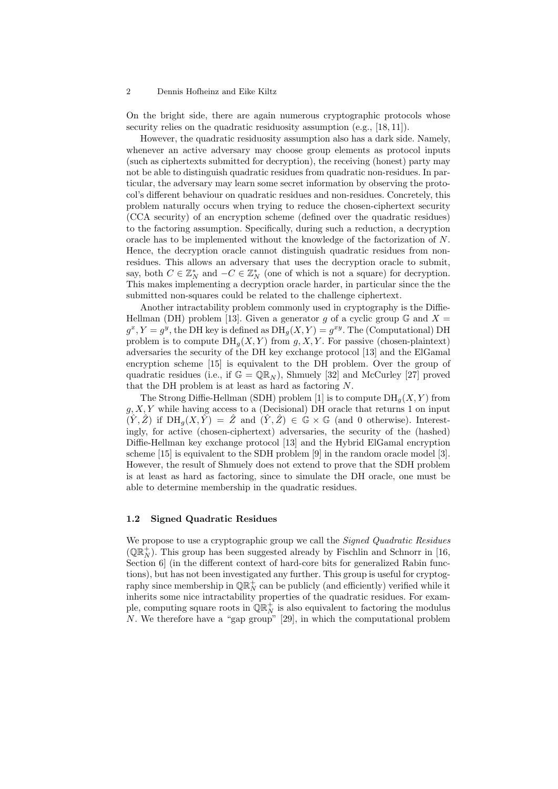On the bright side, there are again numerous cryptographic protocols whose security relies on the quadratic residuosity assumption (e.g., [18, 11]).

However, the quadratic residuosity assumption also has a dark side. Namely, whenever an active adversary may choose group elements as protocol inputs (such as ciphertexts submitted for decryption), the receiving (honest) party may not be able to distinguish quadratic residues from quadratic non-residues. In particular, the adversary may learn some secret information by observing the protocol's different behaviour on quadratic residues and non-residues. Concretely, this problem naturally occurs when trying to reduce the chosen-ciphertext security (CCA security) of an encryption scheme (defined over the quadratic residues) to the factoring assumption. Specifically, during such a reduction, a decryption oracle has to be implemented without the knowledge of the factorization of N. Hence, the decryption oracle cannot distinguish quadratic residues from nonresidues. This allows an adversary that uses the decryption oracle to submit, say, both  $C \in \mathbb{Z}_N^*$  and  $-C \in \mathbb{Z}_N^*$  (one of which is not a square) for decryption. This makes implementing a decryption oracle harder, in particular since the the submitted non-squares could be related to the challenge ciphertext.

Another intractability problem commonly used in cryptography is the Diffie-Hellman (DH) problem [13]. Given a generator g of a cyclic group  $\mathbb{G}$  and  $X =$  $g^x, Y = g^y$ , the DH key is defined as  $DH_g(X, Y) = g^{xy}$ . The (Computational) DH problem is to compute  $DH_a(X, Y)$  from  $g, X, Y$ . For passive (chosen-plaintext) adversaries the security of the DH key exchange protocol [13] and the ElGamal encryption scheme [15] is equivalent to the DH problem. Over the group of quadratic residues (i.e., if  $\mathbb{G} = \mathbb{QR}_N$ ), Shmuely [32] and McCurley [27] proved that the DH problem is at least as hard as factoring N.

The Strong Diffie-Hellman (SDH) problem [1] is to compute  $DH_q(X, Y)$  from  $g, X, Y$  while having access to a (Decisional) DH oracle that returns 1 on input  $(\hat{Y}, \hat{Z})$  if  $DH_q(X, \hat{Y}) = \hat{Z}$  and  $(\hat{Y}, \hat{Z}) \in \mathbb{G} \times \mathbb{G}$  (and 0 otherwise). Interestingly, for active (chosen-ciphertext) adversaries, the security of the (hashed) Diffie-Hellman key exchange protocol [13] and the Hybrid ElGamal encryption scheme [15] is equivalent to the SDH problem [9] in the random oracle model [3]. However, the result of Shmuely does not extend to prove that the SDH problem is at least as hard as factoring, since to simulate the DH oracle, one must be able to determine membership in the quadratic residues.

# 1.2 Signed Quadratic Residues

We propose to use a cryptographic group we call the *Signed Quadratic Residues* ( $\mathbb{Q}\mathbb{R}_N^+$ ). This group has been suggested already by Fischlin and Schnorr in [16, Section 6 (in the different context of hard-core bits for generalized Rabin functions), but has not been investigated any further. This group is useful for cryptography since membership in  $\mathbb{QR}_{N}^{+}$  can be publicly (and efficiently) verified while it inherits some nice intractability properties of the quadratic residues. For example, computing square roots in  $\mathbb{QR}_{N}^{+}$  is also equivalent to factoring the modulus N. We therefore have a "gap group" [29], in which the computational problem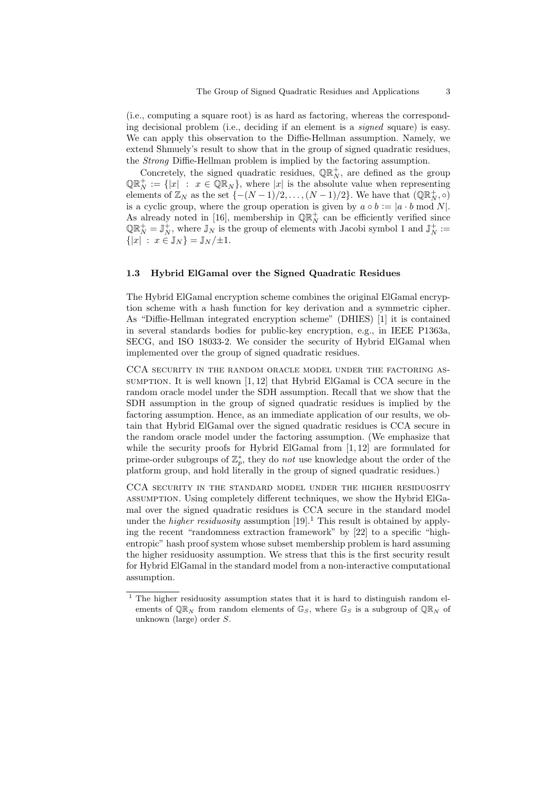(i.e., computing a square root) is as hard as factoring, whereas the corresponding decisional problem (i.e., deciding if an element is a signed square) is easy. We can apply this observation to the Diffie-Hellman assumption. Namely, we extend Shmuely's result to show that in the group of signed quadratic residues, the Strong Diffie-Hellman problem is implied by the factoring assumption.

Concretely, the signed quadratic residues,  $\mathbb{QR}_N^+$ , are defined as the group  $\mathbb{QR}_N^+ := \{ |x| : x \in \mathbb{QR}_N \},$  where  $|x|$  is the absolute value when representing elements of  $\mathbb{Z}_N$  as the set  $\{-(N-1)/2,\ldots,(N-1)/2\}$ . We have that  $(\mathbb{QR}_N^+, \circ)$ is a cyclic group, where the group operation is given by  $a \circ b := |a \cdot b \bmod N|$ . As already noted in [16], membership in  $\mathbb{QR}_{N}^{+}$  can be efficiently verified since  $\mathbb{QR}_N^+ = \mathbb{J}_N^+$ , where  $\mathbb{J}_N$  is the group of elements with Jacobi symbol 1 and  $\mathbb{J}_N^+ :=$  $\{|x| : x \in \mathbb{J}_N\} = \mathbb{J}_N/\pm 1.$ 

# 1.3 Hybrid ElGamal over the Signed Quadratic Residues

The Hybrid ElGamal encryption scheme combines the original ElGamal encryption scheme with a hash function for key derivation and a symmetric cipher. As "Diffie-Hellman integrated encryption scheme" (DHIES) [1] it is contained in several standards bodies for public-key encryption, e.g., in IEEE P1363a, SECG, and ISO 18033-2. We consider the security of Hybrid ElGamal when implemented over the group of signed quadratic residues.

CCA security in the random oracle model under the factoring assumption. It is well known  $[1, 12]$  that Hybrid ElGamal is CCA secure in the random oracle model under the SDH assumption. Recall that we show that the SDH assumption in the group of signed quadratic residues is implied by the factoring assumption. Hence, as an immediate application of our results, we obtain that Hybrid ElGamal over the signed quadratic residues is CCA secure in the random oracle model under the factoring assumption. (We emphasize that while the security proofs for Hybrid ElGamal from [1, 12] are formulated for prime-order subgroups of  $\mathbb{Z}_p^*$ , they do *not* use knowledge about the order of the platform group, and hold literally in the group of signed quadratic residues.)

CCA security in the standard model under the higher residuosity assumption. Using completely different techniques, we show the Hybrid ElGamal over the signed quadratic residues is CCA secure in the standard model under the *higher residuosity* assumption  $[19]$ .<sup>1</sup> This result is obtained by applying the recent "randomness extraction framework" by [22] to a specific "highentropic" hash proof system whose subset membership problem is hard assuming the higher residuosity assumption. We stress that this is the first security result for Hybrid ElGamal in the standard model from a non-interactive computational assumption.

 $\overline{1}$  The higher residuosity assumption states that it is hard to distinguish random elements of  $\mathbb{QR}_N$  from random elements of  $\mathbb{G}_S$ , where  $\mathbb{G}_S$  is a subgroup of  $\mathbb{QR}_N$  of unknown (large) order S.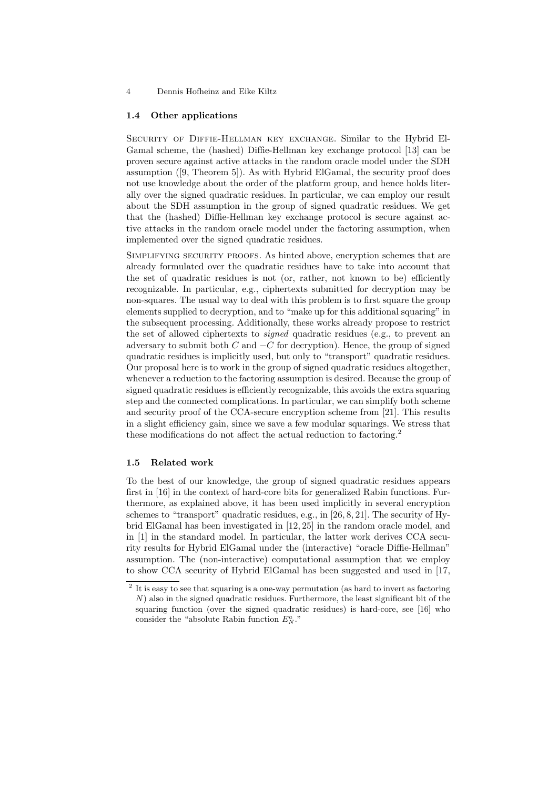### 1.4 Other applications

Security of Diffie-Hellman key exchange. Similar to the Hybrid El-Gamal scheme, the (hashed) Diffie-Hellman key exchange protocol [13] can be proven secure against active attacks in the random oracle model under the SDH assumption ([9, Theorem 5]). As with Hybrid ElGamal, the security proof does not use knowledge about the order of the platform group, and hence holds literally over the signed quadratic residues. In particular, we can employ our result about the SDH assumption in the group of signed quadratic residues. We get that the (hashed) Diffie-Hellman key exchange protocol is secure against active attacks in the random oracle model under the factoring assumption, when implemented over the signed quadratic residues.

SIMPLIFYING SECURITY PROOFS. As hinted above, encryption schemes that are already formulated over the quadratic residues have to take into account that the set of quadratic residues is not (or, rather, not known to be) efficiently recognizable. In particular, e.g., ciphertexts submitted for decryption may be non-squares. The usual way to deal with this problem is to first square the group elements supplied to decryption, and to "make up for this additional squaring" in the subsequent processing. Additionally, these works already propose to restrict the set of allowed ciphertexts to signed quadratic residues (e.g., to prevent an adversary to submit both  $C$  and  $-C$  for decryption). Hence, the group of signed quadratic residues is implicitly used, but only to "transport" quadratic residues. Our proposal here is to work in the group of signed quadratic residues altogether, whenever a reduction to the factoring assumption is desired. Because the group of signed quadratic residues is efficiently recognizable, this avoids the extra squaring step and the connected complications. In particular, we can simplify both scheme and security proof of the CCA-secure encryption scheme from [21]. This results in a slight efficiency gain, since we save a few modular squarings. We stress that these modifications do not affect the actual reduction to factoring.<sup>2</sup>

#### 1.5 Related work

To the best of our knowledge, the group of signed quadratic residues appears first in [16] in the context of hard-core bits for generalized Rabin functions. Furthermore, as explained above, it has been used implicitly in several encryption schemes to "transport" quadratic residues, e.g., in [26, 8, 21]. The security of Hybrid ElGamal has been investigated in [12, 25] in the random oracle model, and in [1] in the standard model. In particular, the latter work derives CCA security results for Hybrid ElGamal under the (interactive) "oracle Diffie-Hellman" assumption. The (non-interactive) computational assumption that we employ to show CCA security of Hybrid ElGamal has been suggested and used in [17,

 $2$  It is easy to see that squaring is a one-way permutation (as hard to invert as factoring N) also in the signed quadratic residues. Furthermore, the least significant bit of the squaring function (over the signed quadratic residues) is hard-core, see [16] who consider the "absolute Rabin function  $E_N^a$ ."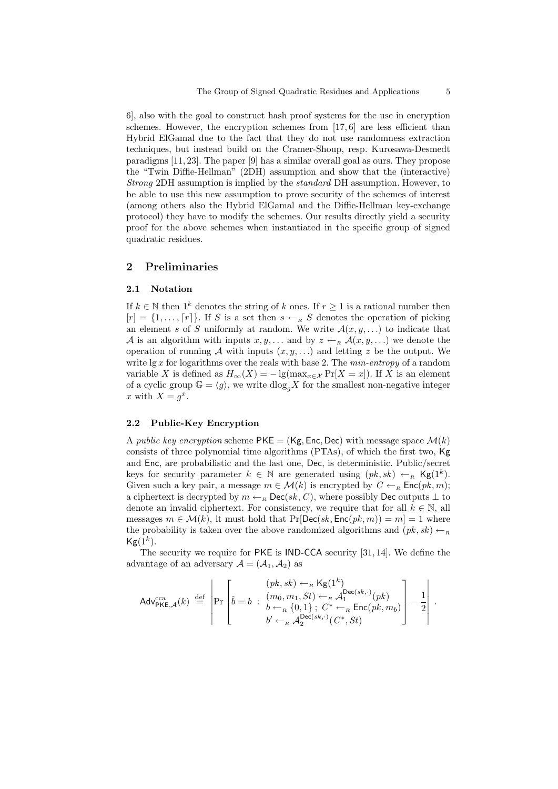6], also with the goal to construct hash proof systems for the use in encryption schemes. However, the encryption schemes from  $[17, 6]$  are less efficient than Hybrid ElGamal due to the fact that they do not use randomness extraction techniques, but instead build on the Cramer-Shoup, resp. Kurosawa-Desmedt paradigms [11, 23]. The paper [9] has a similar overall goal as ours. They propose the "Twin Diffie-Hellman" (2DH) assumption and show that the (interactive) Strong 2DH assumption is implied by the standard DH assumption. However, to be able to use this new assumption to prove security of the schemes of interest (among others also the Hybrid ElGamal and the Diffie-Hellman key-exchange protocol) they have to modify the schemes. Our results directly yield a security proof for the above schemes when instantiated in the specific group of signed quadratic residues.

# 2 Preliminaries

### 2.1 Notation

If  $k \in \mathbb{N}$  then  $1^k$  denotes the string of k ones. If  $r \geq 1$  is a rational number then  $[r] = \{1, \ldots, [r]\}.$  If S is a set then  $s \leftarrow_R S$  denotes the operation of picking an element s of S uniformly at random. We write  $\mathcal{A}(x, y, \ldots)$  to indicate that A is an algorithm with inputs  $x, y, \ldots$  and by  $z \leftarrow_R \mathcal{A}(x, y, \ldots)$  we denote the operation of running A with inputs  $(x, y, \ldots)$  and letting z be the output. We write  $\lg x$  for logarithms over the reals with base 2. The min-entropy of a random variable X is defined as  $H_{\infty}(X) = -\lg(\max_{x \in \mathcal{X}} \Pr[X = x])$ . If X is an element of a cyclic group  $\mathbb{G} = \langle g \rangle$ , we write  $d \log_a X$  for the smallest non-negative integer x with  $X = g^x$ .

### 2.2 Public-Key Encryption

A *public key encryption* scheme  $PKE = (Kg, Enc, Dec)$  with message space  $\mathcal{M}(k)$ consists of three polynomial time algorithms (PTAs), of which the first two, Kg and Enc, are probabilistic and the last one, Dec, is deterministic. Public/secret keys for security parameter  $k \in \mathbb{N}$  are generated using  $(pk, sk) \leftarrow_R \textsf{Kg}(1^k)$ . Given such a key pair, a message  $m \in \mathcal{M}(k)$  is encrypted by  $C \leftarrow_R \text{Enc}(pk, m);$ a ciphertext is decrypted by  $m \leftarrow_R \text{Dec}(sk, C)$ , where possibly Dec outputs  $\perp$  to denote an invalid ciphertext. For consistency, we require that for all  $k \in \mathbb{N}$ , all messages  $m \in \mathcal{M}(k)$ , it must hold that Pr[Dec(sk, Enc(pk, m)) = m] = 1 where the probability is taken over the above randomized algorithms and  $(pk, sk) \leftarrow_R$  $\mathsf{Kg}(1^k).$ 

The security we require for PKE is IND-CCA security [31, 14]. We define the advantage of an adversary  $\mathcal{A} = (\mathcal{A}_1, \mathcal{A}_2)$  as

$$
\label{eq:adv} \begin{aligned} \text{Adv}_{\text{PKE},\mathcal{A}}^{\text{cca}}(k) \; \overset{\text{def}}{=} \; \left| \text{Pr} \left[ \hat{b} = b \; : \; \begin{array}{l} (pk, sk) \leftarrow_{\scriptscriptstyle R} \textsf{Kg}(1^k) \\ (m_0, m_1, St) \leftarrow_{\scriptscriptstyle R} \mathcal{A}_1^{\textsf{Dec}(sk, \cdot)}(pk) \\ b \leftarrow_{\scriptscriptstyle R} \{0, 1\} \; ; \; C^* \leftarrow_{\scriptscriptstyle R} \textsf{Enc}(pk, m_b) \end{array} \right] - \frac{1}{2} \right| \; . \end{aligned}
$$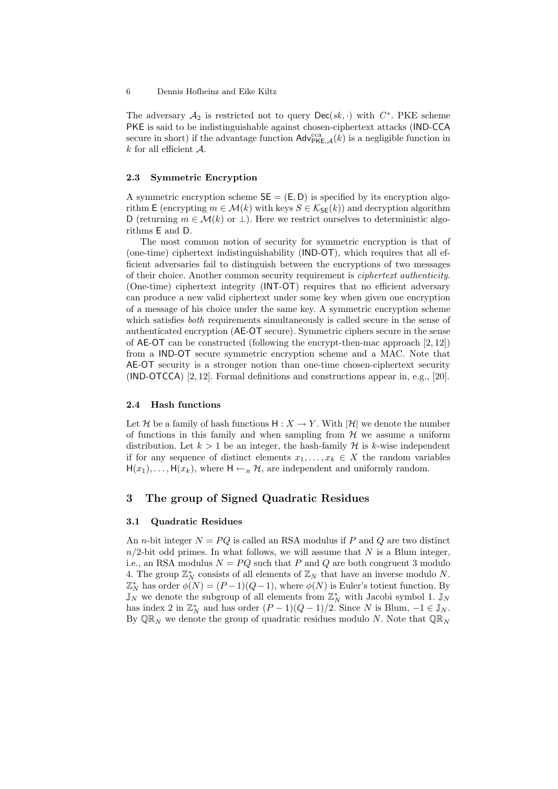The adversary  $\mathcal{A}_2$  is restricted not to query  $\mathsf{Dec}(sk, \cdot)$  with  $C^*$ . PKE scheme PKE is said to be indistinguishable against chosen-ciphertext attacks (IND-CCA secure in short) if the advantage function  $\mathsf{Adv}_{\mathsf{PKE},\mathcal{A}}^{\text{cca}}(k)$  is a negligible function in  $k$  for all efficient  $A$ .

### 2.3 Symmetric Encryption

A symmetric encryption scheme  $SE = (E, D)$  is specified by its encryption algorithm E (encrypting  $m \in \mathcal{M}(k)$  with keys  $S \in \mathcal{K}_{\mathsf{SE}}(k)$ ) and decryption algorithm D (returning  $m \in \mathcal{M}(k)$  or  $\perp$ ). Here we restrict ourselves to deterministic algorithms E and D.

The most common notion of security for symmetric encryption is that of (one-time) ciphertext indistinguishability (IND-OT), which requires that all efficient adversaries fail to distinguish between the encryptions of two messages of their choice. Another common security requirement is ciphertext authenticity. (One-time) ciphertext integrity (INT-OT) requires that no efficient adversary can produce a new valid ciphertext under some key when given one encryption of a message of his choice under the same key. A symmetric encryption scheme which satisfies *both* requirements simultaneously is called secure in the sense of authenticated encryption (AE-OT secure). Symmetric ciphers secure in the sense of AE-OT can be constructed (following the encrypt-then-mac approach [2, 12]) from a IND-OT secure symmetric encryption scheme and a MAC. Note that AE-OT security is a stronger notion than one-time chosen-ciphertext security (IND-OTCCA) [2, 12]. Formal definitions and constructions appear in, e.g., [20].

### 2.4 Hash functions

Let H be a family of hash functions  $H: X \to Y$ . With  $|\mathcal{H}|$  we denote the number of functions in this family and when sampling from  $\mathcal{H}$  we assume a uniform distribution. Let  $k > 1$  be an integer, the hash-family H is k-wise independent if for any sequence of distinct elements  $x_1, \ldots, x_k \in X$  the random variables  $H(x_1), \ldots, H(x_k)$ , where  $H \leftarrow_R \mathcal{H}$ , are independent and uniformly random.

# 3 The group of Signed Quadratic Residues

# 3.1 Quadratic Residues

An *n*-bit integer  $N = PQ$  is called an RSA modulus if P and Q are two distinct  $n/2$ -bit odd primes. In what follows, we will assume that N is a Blum integer, i.e., an RSA modulus  $N = PQ$  such that P and Q are both congruent 3 modulo 4. The group  $\mathbb{Z}_N^*$  consists of all elements of  $\mathbb{Z}_N$  that have an inverse modulo N.  $\mathbb{Z}_N^*$  has order  $\phi(N) = (P-1)(Q-1)$ , where  $\phi(N)$  is Euler's totient function. By  $\mathbb{J}_N$  we denote the subgroup of all elements from  $\mathbb{Z}_N^*$  with Jacobi symbol 1.  $\mathbb{J}_N$ has index 2 in  $\mathbb{Z}_N^*$  and has order  $(P-1)(Q-1)/2$ . Since N is Blum,  $-1 \in \mathbb{J}_N$ . By  $\mathbb{Q}\mathbb{R}_N$  we denote the group of quadratic residues modulo N. Note that  $\mathbb{Q}\mathbb{R}_N$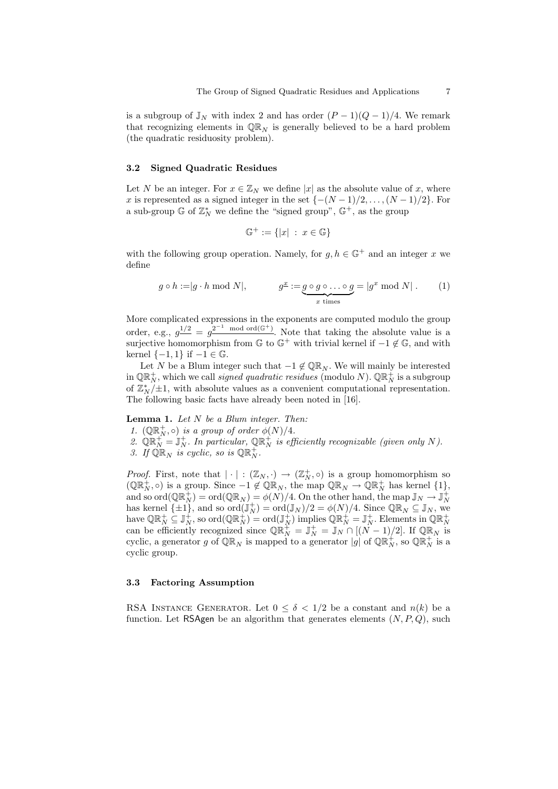is a subgroup of  $\mathbb{J}_N$  with index 2 and has order  $(P-1)(Q-1)/4$ . We remark that recognizing elements in  $\mathbb{QR}_N$  is generally believed to be a hard problem (the quadratic residuosity problem).

# 3.2 Signed Quadratic Residues

Let N be an integer. For  $x \in \mathbb{Z}_N$  we define |x| as the absolute value of x, where x is represented as a signed integer in the set  $\{-\frac{(N-1)}{2}, \ldots, \frac{(N-1)}{2}\}$ . For a sub-group  $\mathbb{G}$  of  $\mathbb{Z}_N^*$  we define the "signed group",  $\mathbb{G}^+$ , as the group

$$
\mathbb{G}^+ := \{ |x| \; : \; x \in \mathbb{G} \}
$$

with the following group operation. Namely, for  $g, h \in \mathbb{G}^+$  and an integer x we define

$$
g \circ h := |g \cdot h \bmod N|, \qquad g^{\underline{x}} := \underbrace{g \circ g \circ \dots \circ g}_{x \text{ times}} = |g^x \bmod N|.
$$
 (1)

More complicated expressions in the exponents are computed modulo the group order, e.g.,  $g^{1/2} = g^{2^{-1} \mod \text{ord}(\mathbb{G}^+)}$ . Note that taking the absolute value is a surjective homomorphism from  $\mathbb{G}$  to  $\mathbb{G}^+$  with trivial kernel if  $-1 \notin \mathbb{G}$ , and with kernel  $\{-1, 1\}$  if  $-1 \in \mathbb{G}$ .

Let N be a Blum integer such that  $-1 \notin \mathbb{QR}_N$ . We will mainly be interested in  $\mathbb{QR}^+_N$ , which we call *signed quadratic residues* (modulo N).  $\mathbb{QR}^+_N$  is a subgroup of  $\mathbb{Z}_{N}^{*}/\pm 1$ , with absolute values as a convenient computational representation. The following basic facts have already been noted in [16].

**Lemma 1.** Let  $N$  be a Blum integer. Then:

- 1.  $(\mathbb{QR}_N^+, \circ)$  is a group of order  $\phi(N)/4$ .
- 2.  $\mathbb{QR}_N^+ = \mathbb{J}_N^+$ . In particular,  $\mathbb{QR}_N^+$  is efficiently recognizable (given only N). 3. If  $\widehat{\mathbb{QR}}_N$  is cyclic, so is  $\mathbb{QR}_N^+$ .

*Proof.* First, note that  $|\cdot|: (\mathbb{Z}_N, \cdot) \to (\mathbb{Z}_N^+, \circ)$  is a group homomorphism so  $(\mathbb{QR}_N^+, \circ)$  is a group. Since  $-1 \notin \mathbb{QR}_N$ , the map  $\mathbb{QR}_N \to \mathbb{QR}_N^+$  has kernel  $\{1\}$ , and so  $\mathrm{ord}(\mathbb{QR}^+_N) = \mathrm{ord}(\mathbb{QR}_N) = \phi(N)/4.$  On the other hand, the map  $\mathbb{J}_N \to \mathbb{J}^+_N$ has kernel  $\{\pm 1\}$ , and so  $\text{ord}(\mathbb{J}_N^+) = \text{ord}(\mathbb{J}_N)/2 = \phi(N)/4$ . Since  $\mathbb{QR}_N \subseteq \mathbb{J}_N$ , we have  $\mathbb{QR}_{N}^{+} \subseteq \mathbb{J}_{N}^{+}$ , so  $\text{ord}(\mathbb{QR}_{N}^{+}) = \text{ord}(\mathbb{J}_{N}^{+})$  implies  $\mathbb{QR}_{N}^{+} = \mathbb{J}_{N}^{+}$ . Elements in  $\mathbb{QR}_{N}^{+}$  can be efficiently recognized since  $\mathbb{QR}_{N}^{+} = \mathbb{J}_{N}^{+} = \mathbb{J}_{N} \cap [(N-1)/2]$ . If  $\mathbb$ cyclic, a generator g of  $\mathbb{QR}_N$  is mapped to a generator  $|g|$  of  $\mathbb{QR}_N^+$ , so  $\mathbb{QR}_N^+$  is a cyclic group.

#### 3.3 Factoring Assumption

RSA INSTANCE GENERATOR. Let  $0 \leq \delta < 1/2$  be a constant and  $n(k)$  be a function. Let RSAgen be an algorithm that generates elements  $(N, P, Q)$ , such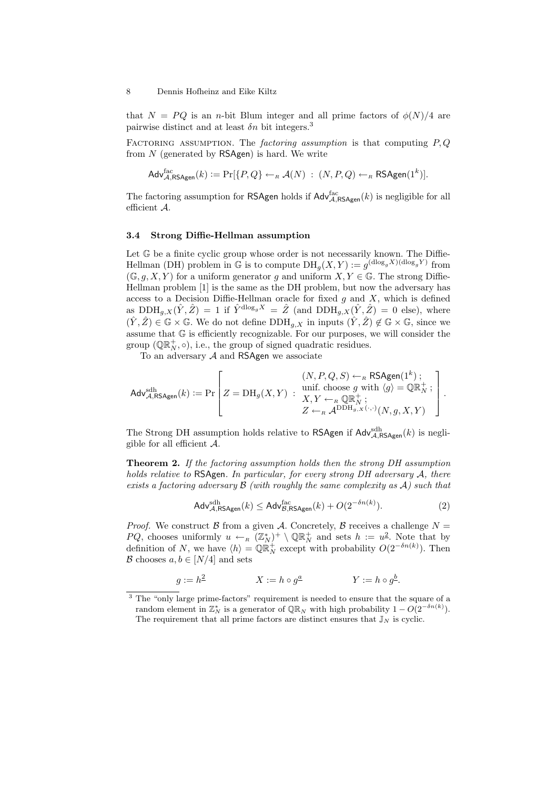that  $N = PQ$  is an *n*-bit Blum integer and all prime factors of  $\phi(N)/4$  are pairwise distinct and at least  $\delta n$  bit integers.<sup>3</sup>

FACTORING ASSUMPTION. The factoring assumption is that computing  $P, Q$ from  $N$  (generated by  $\mathsf{RSAgen}$ ) is hard. We write

 $\mathsf{Adv}_{\mathcal{A},\mathsf{RSAgen}}^{\text{fac}}(k) \vcentcolon= \Pr[\{P,Q\} \leftarrow_R \mathcal{A}(N) \; : \; (N,P,Q) \leftarrow_R \mathsf{RSAgen}(1^k)].$ 

The factoring assumption for RSAgen holds if  $\text{Adv}_{\mathcal{A},\text{RSAgen}}^{fac}(k)$  is negligible for all efficient A.

#### 3.4 Strong Diffie-Hellman assumption

Let  $\mathbb G$  be a finite cyclic group whose order is not necessarily known. The Diffie-Hellman (DH) problem in  $\mathbb{G}$  is to compute  $DH_g(X, Y) := g^{(\text{dlog}_g X)(\text{dlog}_g Y)}$  from  $(\mathbb{G}, g, X, Y)$  for a uniform generator g and uniform  $X, Y \in \mathbb{G}$ . The strong Diffie-Hellman problem [1] is the same as the DH problem, but now the adversary has access to a Decision Diffie-Hellman oracle for fixed  $g$  and  $X$ , which is defined as  $\text{DDH}_{g,X}(\hat{Y}, \hat{Z}) = 1$  if  $\hat{Y}^{\text{dlog}_g X} = \hat{Z}$  (and  $\text{DDH}_{g,X}(\hat{Y}, \hat{Z}) = 0$  else), where  $(\hat{Y}, \hat{Z}) \in \mathbb{G} \times \mathbb{G}$ . We do not define  $\text{DDH}_{a,X}$  in inputs  $(\hat{Y}, \hat{Z}) \notin \mathbb{G} \times \mathbb{G}$ , since we assume that G is efficiently recognizable. For our purposes, we will consider the group  $(\mathbb{QR}_{N}^{+}, \circ)$ , i.e., the group of signed quadratic residues.

To an adversary  $A$  and RSAgen we associate

$$
\mathsf{Adv}_{\mathcal{A},\mathsf{RSAgen}}^{\rm sth}(k) := \Pr\left[Z = \mathrm{DH}_g(X,Y) \ : \ \begin{array}{r} (N,P,Q,S) \leftarrow_{\scriptscriptstyle R} \mathsf{RSAgen}(1^k) \ ; \\ \text{unif. choose } g \text{ with } \langle g \rangle = \mathbb{QR}_N^+ \ ; \\ X,Y \leftarrow_{\scriptscriptstyle R} \mathbb{QR}_N^+ \ ; \\ Z \leftarrow_{\scriptscriptstyle R} \mathsf{ADDH}_{g,X}(\cdot,\cdot)(N,g,X,Y) \end{array}\right].
$$

The Strong DH assumption holds relative to RSAgen if  $\mathsf{Adv}_{\mathcal{A},\mathsf{RSAgen}}^{\rm sdh}(k)$  is negligible for all efficient  $\mathcal{A}$ .

Theorem 2. If the factoring assumption holds then the strong DH assumption holds relative to RSAgen. In particular, for every strong DH adversary A, there exists a factoring adversary  $\mathcal B$  (with roughly the same complexity as  $\mathcal A$ ) such that

$$
\mathsf{Adv}_{\mathcal{A}, \mathsf{RSAgen}}^{\mathrm{sdh}}(k) \le \mathsf{Adv}_{\mathcal{B}, \mathsf{RSAgen}}^{\mathrm{fac}}(k) + O(2^{-\delta n(k)}). \tag{2}
$$

*Proof.* We construct B from a given A. Concretely, B receives a challenge  $N =$ PQ, chooses uniformly  $u \leftarrow_R (\mathbb{Z}_N^*)^+ \setminus \mathbb{Q} \mathbb{R}_N^+$  and sets  $h := u^2$ . Note that by definition of N, we have  $\langle h \rangle = \mathbb{Q} \mathbb{R}^+_{N}$  except with probability  $O(2^{-\delta n(k)})$ . Then  $\mathcal B$  chooses  $a, b \in [N/4]$  and sets

$$
g := h^{\underline{2}} \qquad \qquad X := h \circ g^{\underline{a}} \qquad \qquad Y := h \circ g^{\underline{b}}.
$$

<sup>&</sup>lt;sup>3</sup> The "only large prime-factors" requirement is needed to ensure that the square of a random element in  $\mathbb{Z}_N^*$  is a generator of  $\mathbb{QR}_N$  with high probability  $1 - O(2^{-\delta n(k)})$ . The requirement that all prime factors are distinct ensures that  $\mathbb{J}_N$  is cyclic.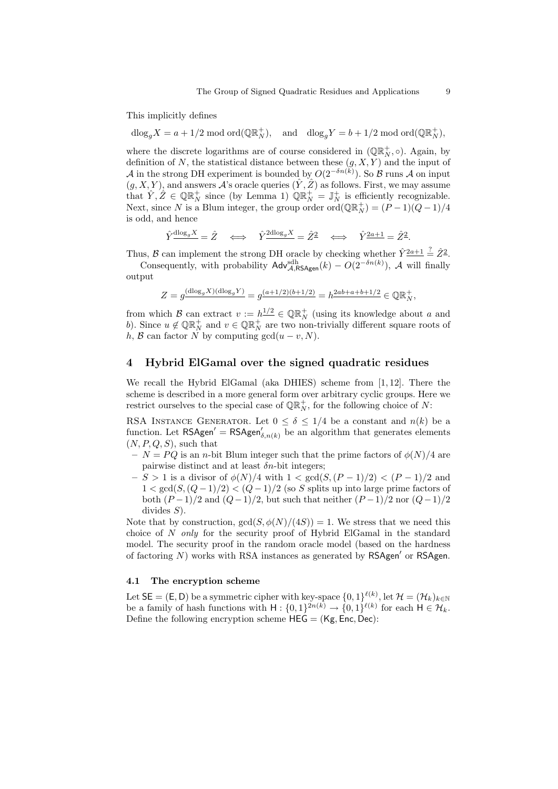This implicitly defines

 $\text{dlog}_g X = a + 1/2 \text{ mod } \text{ord}(\mathbb{QR}_N^+), \text{ and } \text{dlog}_g Y = b + 1/2 \text{ mod } \text{ord}(\mathbb{QR}_N^+),$ 

where the discrete logarithms are of course considered in  $(\mathbb{QR}_{N}^{+}, \circ)$ . Again, by definition of N, the statistical distance between these  $(g, X, Y)$  and the input of A in the strong DH experiment is bounded by  $O(2^{-\delta n(k)})$ . So B runs A on input  $(g, X, Y)$ , and answers A's oracle queries  $(\hat{Y}, \hat{Z})$  as follows. First, we may assume that  $\hat{Y}, \hat{Z} \in \mathbb{QR}_N^+$  since (by Lemma 1)  $\mathbb{QR}_N^+ = \mathbb{J}_N^+$  is efficiently recognizable. Next, since N is a Blum integer, the group order ord $(\mathbb{QR}_N^+) = (P-1)(Q-1)/4$ is odd, and hence

$$
\hat{Y}^{\underline{\text{dlog}_g X}} = \hat{Z} \iff \hat{Y}^{\underline{\text{2dlog}_g X}} = \hat{Z}^{\underline{2}} \iff \hat{Y}^{\underline{\text{2a+1}}} = \hat{Z}^{\underline{2}}.
$$

Thus, B can implement the strong DH oracle by checking whether  $\hat{Y}^{\frac{2a+1}{2}} \stackrel{?}{=} \hat{Z}^2$ .

Consequently, with probability  $\text{Adv}_{\mathcal{A},\text{RSAgen}}^{sh}(k) - O(2^{-\delta n(k)})$ , A will finally output

$$
Z = g^{\left(\mathrm{dlog}_g X\right)\left(\mathrm{dlog}_g Y\right)} = g^{\left(a+1/2\right)\left(b+1/2\right)} = h^{2ab+a+b+1/2} \in \mathbb{Q} \mathbb{R}^+_N,
$$

from which  $\mathcal{B}$  can extract  $v := h^{1/2} \in \mathbb{QR}^+_N$  (using its knowledge about a and b). Since  $u \notin \mathbb{QR}_{N}^{+}$  and  $v \in \mathbb{QR}_{N}^{+}$  are two non-trivially different square roots of h, B can factor N by computing  $gcd(u - v, N)$ .

# 4 Hybrid ElGamal over the signed quadratic residues

We recall the Hybrid ElGamal (aka DHIES) scheme from [1, 12]. There the scheme is described in a more general form over arbitrary cyclic groups. Here we restrict ourselves to the special case of  $\mathbb{QR}_N^+$ , for the following choice of N:

RSA INSTANCE GENERATOR. Let  $0 \le \delta \le 1/4$  be a constant and  $n(k)$  be a function. Let RSAgen' = RSAgen $\zeta_{n(k)}$  be an algorithm that generates elements  $(N, P, Q, S)$ , such that

- $N = PQ$  is an n-bit Blum integer such that the prime factors of  $\phi(N)/4$  are pairwise distinct and at least  $\delta n$ -bit integers;
- $S > 1$  is a divisor of  $\phi(N)/4$  with 1 < gcd(S, (P − 1)/2) < (P − 1)/2 and  $1 < \gcd(S, (Q-1)/2) < (Q-1)/2$  (so S splits up into large prime factors of both  $(P-1)/2$  and  $(Q-1)/2$ , but such that neither  $(P-1)/2$  nor  $(Q-1)/2$ divides  $S$ ).

Note that by construction,  $gcd(S, \phi(N)/(4S)) = 1$ . We stress that we need this choice of N only for the security proof of Hybrid ElGamal in the standard model. The security proof in the random oracle model (based on the hardness of factoring  $N$ ) works with RSA instances as generated by  $\mathsf{RSAgen}'$  or  $\mathsf{RSAgen}$ .

## 4.1 The encryption scheme

Let  $\mathsf{SE} = (\mathsf{E},\mathsf{D})$  be a symmetric cipher with key-space  $\{0,1\}^{\ell(k)},$  let  $\mathcal{H} = (\mathcal{H}_k)_{k \in \mathbb{N}}$ be a family of hash functions with  $H: \{0,1\}^{2n(k)} \to \{0,1\}^{\ell(k)}$  for each  $H \in \mathcal{H}_k$ . Define the following encryption scheme  $HEG = (Kg, Enc, Dec)$ :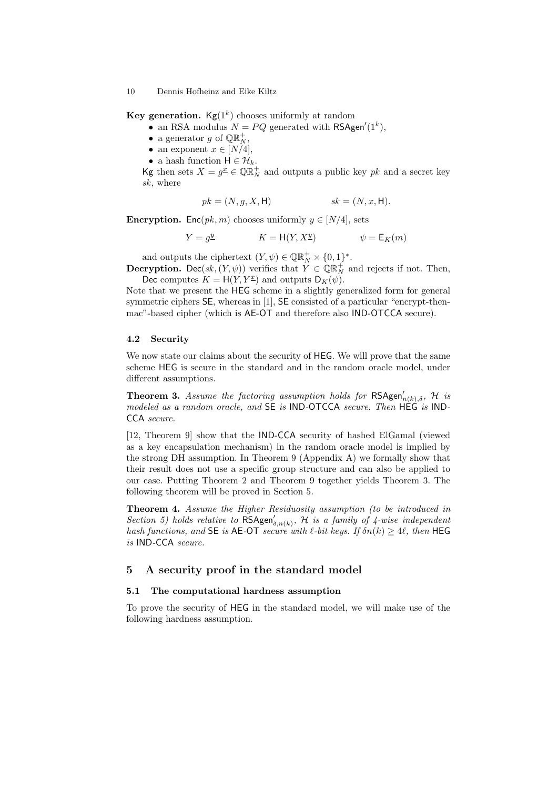**Key generation.**  $\text{Kg}(1^k)$  chooses uniformly at random

- an RSA modulus  $N = PQ$  generated with RSAgen'(1<sup>k</sup>),
- a generator g of  $\mathbb{QR}^+_N$ ,
- an exponent  $x \in [N/4]$ ,
- a hash function  $H \in \mathcal{H}_k$ .

Kg then sets  $X = g^{\underline{x}} \in \mathbb{Q} \mathbb{R}^+_N$  and outputs a public key  $pk$  and a secret key sk, where

$$
pk = (N, g, X, \mathsf{H}) \qquad sk = (N, x, \mathsf{H}).
$$

**Encryption.** Enc( $pk, m$ ) chooses uniformly  $y \in [N/4]$ , sets

$$
Y = g^{\underline{y}} \qquad \qquad K = \mathsf{H}(Y, X^{\underline{y}}) \qquad \qquad \psi = \mathsf{E}_K(m)
$$

and outputs the ciphertext  $(Y, \psi) \in \mathbb{QR}_{N}^{+} \times \{0, 1\}^{*}$ .

**Decryption.** Dec(sk,  $(Y, \psi)$ ) verifies that  $\hat{Y} \in \mathbb{QR}_{N}^{+}$  and rejects if not. Then, Dec computes  $K = H(Y, Y^{\underline{x}})$  and outputs  $D_K(\psi)$ .

Note that we present the HEG scheme in a slightly generalized form for general symmetric ciphers SE, whereas in [1], SE consisted of a particular "encrypt-thenmac"-based cipher (which is AE-OT and therefore also IND-OTCCA secure).

#### 4.2 Security

We now state our claims about the security of HEG. We will prove that the same scheme HEG is secure in the standard and in the random oracle model, under different assumptions.

**Theorem 3.** Assume the factoring assumption holds for  $\mathsf{RSAgen}'_{n(k),\delta}$ , H is modeled as a random oracle, and SE is IND-OTCCA secure. Then HEG is IND-CCA secure.

[12, Theorem 9] show that the IND-CCA security of hashed ElGamal (viewed as a key encapsulation mechanism) in the random oracle model is implied by the strong DH assumption. In Theorem 9 (Appendix A) we formally show that their result does not use a specific group structure and can also be applied to our case. Putting Theorem 2 and Theorem 9 together yields Theorem 3. The following theorem will be proved in Section 5.

Theorem 4. Assume the Higher Residuosity assumption (to be introduced in Section 5) holds relative to  $\mathsf{RSAgen}'_{\delta,n(k)}$ , H is a family of 4-wise independent hash functions, and SE is AE-OT secure with  $\ell$ -bit keys. If  $\delta n(k) \geq 4\ell$ , then HEG is IND-CCA secure.

# 5 A security proof in the standard model

### 5.1 The computational hardness assumption

To prove the security of HEG in the standard model, we will make use of the following hardness assumption.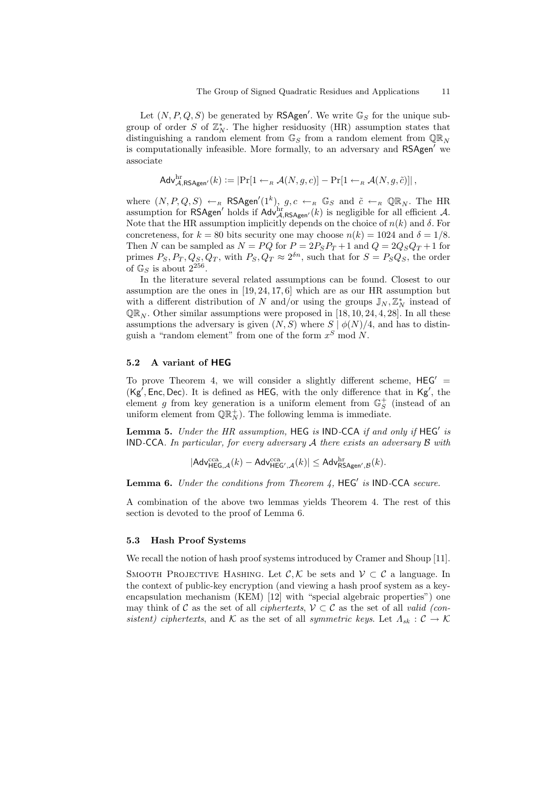Let  $(N, P, Q, S)$  be generated by RSAgen'. We write  $\mathbb{G}_S$  for the unique subgroup of order S of  $\mathbb{Z}_N^*$ . The higher residuosity (HR) assumption states that distinguishing a random element from  $\mathbb{G}_S$  from a random element from  $\mathbb{QR}_N$ is computationally infeasible. More formally, to an adversary and RSAgen' we associate

$$
\mathsf{Adv}_{\mathcal{A},\mathsf{RSAgen}'}^{\rm hr}(k) := |\Pr[1 \leftarrow_R \mathcal{A}(N,g,c)] - \Pr[1 \leftarrow_R \mathcal{A}(N,g,\tilde{c})]|,
$$

where  $(N, P, Q, S) \leftarrow_R \text{RSAgen}'(1^k)$ ,  $g, c \leftarrow_R \mathbb{G}_S$  and  $\tilde{c} \leftarrow_R \mathbb{Q} \mathbb{R}_N$ . The HR assumption for RSAgen' holds if  $\text{Adv}_{\mathcal{A},\text{RSAgen}'}^{hr}(k)$  is negligible for all efficient A. Note that the HR assumption implicitly depends on the choice of  $n(k)$  and  $\delta$ . For concreteness, for  $k = 80$  bits security one may choose  $n(k) = 1024$  and  $\delta = 1/8$ . Then N can be sampled as  $N = PQ$  for  $P = 2P_S P_T + 1$  and  $Q = 2Q_S Q_T + 1$  for primes  $P_S, P_T, Q_S, Q_T$ , with  $P_S, Q_T \approx 2^{\delta n}$ , such that for  $S = P_S Q_S$ , the order of  $\mathbb{G}_S$  is about  $2^{256}$ .

In the literature several related assumptions can be found. Closest to our assumption are the ones in [19, 24, 17, 6] which are as our HR assumption but with a different distribution of N and/or using the groups  $\mathbb{J}_N, \mathbb{Z}_N^*$  instead of  $QR_N$ . Other similar assumptions were proposed in [18, 10, 24, 4, 28]. In all these assumptions the adversary is given  $(N, S)$  where  $S | \phi(N)/4$ , and has to distinguish a "random element" from one of the form  $x^S \mod N$ .

# 5.2 A variant of HEG

To prove Theorem 4, we will consider a slightly different scheme,  $\text{HEG}' =$  $(Kg', Enc, Dec)$ . It is defined as HEG, with the only difference that in Kg', the element g from key generation is a uniform element from  $\mathbb{G}_{S}^{+}$  (instead of an uniform element from  $\mathbb{QR}_{N}^{+}$ . The following lemma is immediate.

Lemma 5. Under the HR assumption, HEG is IND-CCA if and only if  $HEG'$  is IND-CCA. In particular, for every adversary A there exists an adversary B with

$$
|\mathsf{Adv}_{\mathsf{HEG},\mathcal{A}}^{\mathrm{cca}}(k) - \mathsf{Adv}_{\mathsf{HEG}',\mathcal{A}}^{\mathrm{cca}}(k)| \leq \mathsf{Adv}_{\mathsf{RSAgen}',\mathcal{B}}^{\mathrm{hr}}(k).
$$

**Lemma 6.** Under the conditions from Theorem  $4$ , HEG' is IND-CCA secure.

A combination of the above two lemmas yields Theorem 4. The rest of this section is devoted to the proof of Lemma 6.

#### 5.3 Hash Proof Systems

We recall the notion of hash proof systems introduced by Cramer and Shoup [11].

SMOOTH PROJECTIVE HASHING. Let  $\mathcal{C}, \mathcal{K}$  be sets and  $\mathcal{V} \subset \mathcal{C}$  a language. In the context of public-key encryption (and viewing a hash proof system as a keyencapsulation mechanism (KEM) [12] with "special algebraic properties") one may think of C as the set of all *ciphertexts*,  $V \subset C$  as the set of all *valid (con*sistent) ciphertexts, and K as the set of all symmetric keys. Let  $\Lambda_{sk} : \mathcal{C} \to \mathcal{K}$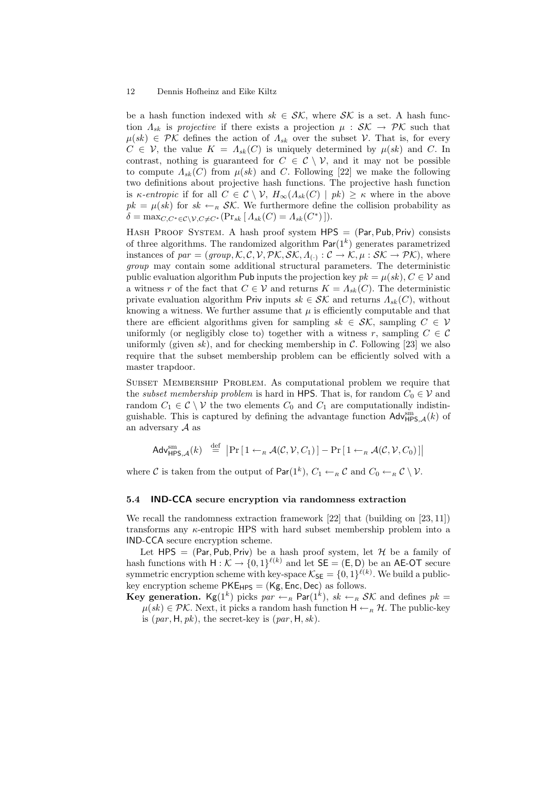be a hash function indexed with  $sk \in \mathcal{SK}$ , where  $\mathcal{SK}$  is a set. A hash function  $\Lambda_{sk}$  is projective if there exists a projection  $\mu : \mathcal{SK} \to \mathcal{PK}$  such that  $\mu(sk) \in \mathcal{PK}$  defines the action of  $\Lambda_{sk}$  over the subset V. That is, for every  $C \in \mathcal{V}$ , the value  $K = \Lambda_{sk}(C)$  is uniquely determined by  $\mu(sk)$  and C. In contrast, nothing is guaranteed for  $C \in \mathcal{C} \setminus \mathcal{V}$ , and it may not be possible to compute  $\Lambda_{sk}(C)$  from  $\mu(sk)$  and C. Following [22] we make the following two definitions about projective hash functions. The projective hash function is κ-entropic if for all  $C \in \mathcal{C} \setminus \mathcal{V}$ ,  $H_{\infty}(\Lambda_{sk}(C) \mid pk) \geq \kappa$  where in the above  $pk = \mu(sk)$  for  $sk \leftarrow_R SK$ . We furthermore define the collision probability as  $\delta = \max_{C, C^* \in \mathcal{C} \setminus \mathcal{V}, C \neq C^*} (\Pr_{sk} [ \Lambda_{sk}(C) = \Lambda_{sk}(C^*) ]).$ 

HASH PROOF SYSTEM. A hash proof system  $HPS = (Par, Pub, Priv)$  consists of three algorithms. The randomized algorithm  $Par(1<sup>k</sup>)$  generates parametrized instances of  $par = (group, K, C, V, PK, \mathcal{SK}, A_{(.)} : C \to K, \mu : \mathcal{SK} \to PK)$ , where group may contain some additional structural parameters. The deterministic public evaluation algorithm Pub inputs the projection key  $pk = \mu(sk)$ ,  $C \in V$  and a witness r of the fact that  $C \in V$  and returns  $K = \Lambda_{sk}(C)$ . The deterministic private evaluation algorithm Priv inputs  $sk \in \mathcal{SK}$  and returns  $\Lambda_{sk}(C)$ , without knowing a witness. We further assume that  $\mu$  is efficiently computable and that there are efficient algorithms given for sampling  $sk \in \mathcal{SK}$ , sampling  $C \in \mathcal{V}$ uniformly (or negligibly close to) together with a witness r, sampling  $C \in \mathcal{C}$ uniformly (given sk), and for checking membership in  $\mathcal{C}$ . Following [23] we also require that the subset membership problem can be efficiently solved with a master trapdoor.

SUBSET MEMBERSHIP PROBLEM. As computational problem we require that the *subset membership problem* is hard in HPS. That is, for random  $C_0 \in \mathcal{V}$  and random  $C_1 \in \mathcal{C} \setminus \mathcal{V}$  the two elements  $C_0$  and  $C_1$  are computationally indistinguishable. This is captured by defining the advantage function  $\mathsf{Adv}_{\mathsf{HPS},\mathcal{A}}^{\mathsf{sm}}(k)$  of an adversary  $A$  as

$$
\mathsf{Adv}^{\mathrm{sm}}_{\mathsf{HPS},\mathcal{A}}(k) \stackrel{\mathrm{def}}{=} \big|\Pr\big[1 \leftarrow_{\scriptscriptstyle R} \mathcal{A}(\mathcal{C},\mathcal{V},C_1)\big] - \Pr\big[1 \leftarrow_{\scriptscriptstyle R} \mathcal{A}(\mathcal{C},\mathcal{V},C_0)\big]\big|
$$

where C is taken from the output of  $\mathsf{Par}(1^k)$ ,  $C_1 \leftarrow_R C$  and  $C_0 \leftarrow_R C \setminus \mathcal{V}$ .

### 5.4 IND-CCA secure encryption via randomness extraction

We recall the randomness extraction framework [22] that (building on [23, 11]) transforms any  $\kappa$ -entropic HPS with hard subset membership problem into a IND-CCA secure encryption scheme.

Let  $HPS = (Par, Pub, Priv)$  be a hash proof system, let  $H$  be a family of hash functions with  $H: \mathcal{K} \to \{0,1\}^{\ell(k)}$  and let  $\mathsf{SE} = (\mathsf{E}, \mathsf{D})$  be an AE-OT secure symmetric encryption scheme with key-space  $\mathcal{K}_{\mathsf{SE}} = \{0,1\}^{\ell(k)}$ . We build a publickey encryption scheme  $PKE_{HPS} = (Kg, Enc, Dec)$  as follows.

**Key generation.** Kg(1<sup>k</sup>) picks  $par \leftarrow_R \text{Par}(1^k)$ ,  $sk \leftarrow_R \mathcal{SK}$  and defines  $pk =$  $\mu(sk) \in \mathcal{PK}$ . Next, it picks a random hash function  $H \leftarrow_R \mathcal{H}$ . The public-key is (par , H, pk), the secret-key is (par , H, sk).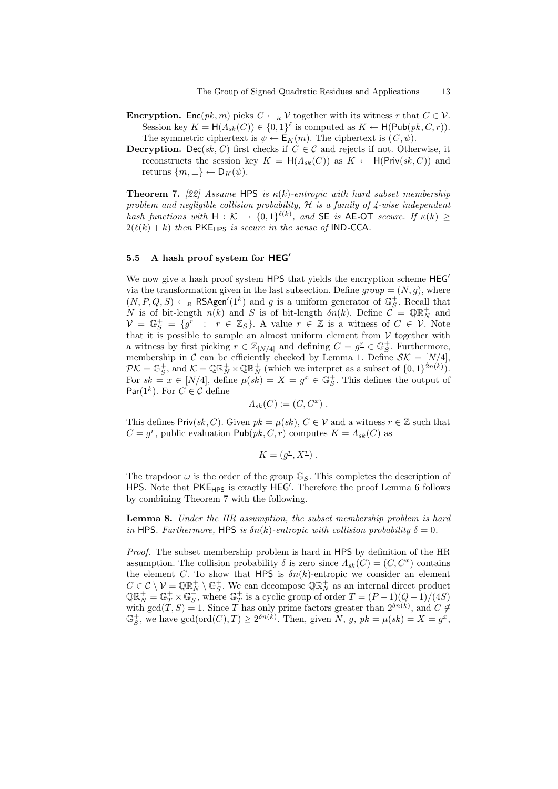- **Encryption.** Enc $(pk, m)$  picks  $C \leftarrow_R V$  together with its witness r that  $C \in V$ . Session key  $K = H(\Lambda_{sk}(C)) \in \{0,1\}^{\ell}$  is computed as  $K \leftarrow H(\mathsf{Pub}(pk, C, r)).$ The symmetric ciphertext is  $\psi \leftarrow \mathsf{E}_K(m)$ . The ciphertext is  $(C, \psi)$ .
- **Decryption.** Dec(sk, C) first checks if  $C \in \mathcal{C}$  and rejects if not. Otherwise, it reconstructs the session key  $K = H(A_{sk}(C))$  as  $K \leftarrow H(\text{Priv}(sk, C))$  and returns  $\{m, \perp\} \leftarrow D_K(\psi)$ .

**Theorem 7.** [22] Assume HPS is  $\kappa(k)$ -entropic with hard subset membership problem and negligible collision probability,  $H$  is a family of  $\lambda$ -wise independent hash functions with  $H: \mathcal{K} \to \{0,1\}^{\ell(k)}$ , and SE is AE-OT secure. If  $\kappa(k) \geq$  $2(\ell(k) + k)$  then PKE<sub>HPS</sub> is secure in the sense of IND-CCA.

# 5.5 A hash proof system for  $HEG'$

We now give a hash proof system HPS that yields the encryption scheme  $HEG'$ via the transformation given in the last subsection. Define  $group = (N, g)$ , where  $(N, P, Q, S) \leftarrow_R \textsf{RSAgen}'(1^k)$  and g is a uniform generator of  $\mathbb{G}_{S}^+$ . Recall that N is of bit-length  $n(k)$  and S is of bit-length  $\delta n(k)$ . Define  $\mathcal{C} = \mathbb{Q} \mathbb{R}^+_N$  and  $\mathcal{V} = \mathbb{G}_{S}^{+} = \{g^{T} : r \in \mathbb{Z}_{S}\}\$ . A value  $r \in \mathbb{Z}$  is a witness of  $C \in \mathcal{V}$ . Note that it is possible to sample an almost uniform element from  $V$  together with a witness by first picking  $r \in \mathbb{Z}_{[N/4]}$  and defining  $C = g^{\mathcal{I}} \in \mathbb{G}_S^+$ . Furthermore, membership in C can be efficiently checked by Lemma 1. Define  $\mathcal{SK} = [N/4],$  $\mathcal{PK} = \mathbb{G}_S^+$ , and  $\mathcal{K} = \mathbb{QR}_N^+ \times \mathbb{QR}_N^+$  (which we interpret as a subset of  $\{0, 1\}^{2n(k)}$ ). For  $sk = x \in [N/4]$ , define  $\mu(k) = X = g^{\underline{x}} \in \mathbb{G}_{S}^{+}$ . This defines the output of Par(1<sup>k</sup>). For  $C \in \mathcal{C}$  define

$$
\Lambda_{sk}(C):=(C,C^{\underline{x}})\ .
$$

This defines Priv(sk, C). Given  $pk = \mu(sk)$ ,  $C \in V$  and a witness  $r \in \mathbb{Z}$  such that  $C = g^{\mathcal{I}}$ , public evaluation  $\mathsf{Pub}(pk, C, r)$  computes  $K = \Lambda_{sk}(C)$  as

$$
K = (g^{\underline{r}}, X^{\underline{r}}) .
$$

The trapdoor  $\omega$  is the order of the group  $\mathbb{G}_S$ . This completes the description of HPS. Note that  $PKE_{HPS}$  is exactly  $HEG'$ . Therefore the proof Lemma 6 follows by combining Theorem 7 with the following.

Lemma 8. Under the HR assumption, the subset membership problem is hard in HPS. Furthermore, HPS is  $\delta n(k)$ -entropic with collision probability  $\delta = 0$ .

Proof. The subset membership problem is hard in HPS by definition of the HR assumption. The collision probability  $\delta$  is zero since  $\Lambda_{sk}(C) = (C, C^{\underline{x}})$  contains the element C. To show that HPS is  $\delta n(k)$ -entropic we consider an element  $C \in \mathcal{C} \setminus \mathcal{V} = \mathbb{Q} \mathbb{R}^+_N \setminus \mathbb{G}_S^+$ . We can decompose  $\mathbb{Q} \mathbb{R}^+_N$  as an internal direct product  $\mathbb{Q} \mathbb{R}^+_N = \mathbb{G}^+_T \times \mathbb{G}^+_S$ , where  $\mathbb{G}^+_T$  is a cyclic group of order  $T = (P-1)(Q-1)/(4S)$ with  $gcd(T, S) = 1$ . Since T has only prime factors greater than  $2^{\delta n(k)}$ , and  $C \notin$  $\mathbb{G}_S^+$ , we have  $gcd(ord(C), T) \geq 2^{\delta n(k)}$ . Then, given N, g,  $pk = \mu(sk) = X = g^{\underline{x}}$ ,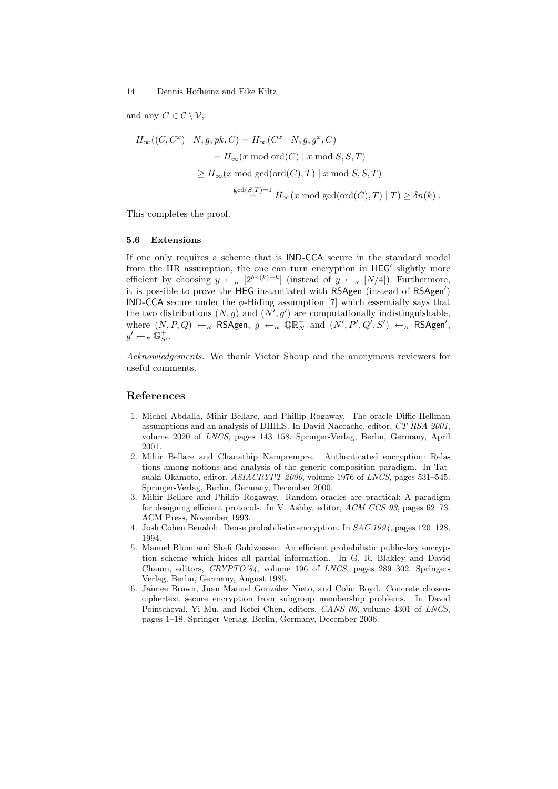and any  $C \in \mathcal{C} \setminus \mathcal{V}$ ,

$$
H_{\infty}((C, C^{\underline{x}}) | N, g, pk, C) = H_{\infty}(C^{\underline{x}} | N, g, g^{\underline{x}}, C)
$$
  
=  $H_{\infty}(x \mod \text{ord}(C) | x \mod S, S, T)$   

$$
\geq H_{\infty}(x \mod \text{gcd}(\text{ord}(C), T) | x \mod S, S, T)
$$
  

$$
\gcd(\frac{S, T}{=}) = 1 \ H_{\infty}(x \mod \text{gcd}(\text{ord}(C), T) | T) \geq \delta n(k).
$$

This completes the proof.

#### 5.6 Extensions

If one only requires a scheme that is IND-CCA secure in the standard model from the HR assumption, the one can turn encryption in HEG' slightly more efficient by choosing  $y \leftarrow_R [2^{\delta n(k)+k}]$  (instead of  $y \leftarrow_R [N/4]$ ). Furthermore, it is possible to prove the HEG instantiated with RSAgen (instead of RSAgen<sup>'</sup>) IND-CCA secure under the  $\phi$ -Hiding assumption [7] which essentially says that the two distributions  $(N, g)$  and  $(N', g')$  are computationally indistinguishable, where  $(N, P, Q) \leftarrow_R \textsf{RSAgen}, g \leftarrow_R \textsf{QR}_N^+$  and  $(N', P', Q', S') \leftarrow_R \textsf{RSAgen}',$  $g' \leftarrow_R \mathbb{G}_{S'}^+$ .

Acknowledgements. We thank Victor Shoup and the anonymous reviewers for useful comments.

# References

- 1. Michel Abdalla, Mihir Bellare, and Phillip Rogaway. The oracle Diffie-Hellman assumptions and an analysis of DHIES. In David Naccache, editor, CT-RSA 2001, volume 2020 of LNCS, pages 143–158. Springer-Verlag, Berlin, Germany, April 2001.
- 2. Mihir Bellare and Chanathip Namprempre. Authenticated encryption: Relations among notions and analysis of the generic composition paradigm. In Tatsuaki Okamoto, editor, ASIACRYPT 2000, volume 1976 of LNCS, pages 531–545. Springer-Verlag, Berlin, Germany, December 2000.
- 3. Mihir Bellare and Phillip Rogaway. Random oracles are practical: A paradigm for designing efficient protocols. In V. Ashby, editor, ACM CCS 93, pages 62–73. ACM Press, November 1993.
- 4. Josh Cohen Benaloh. Dense probabilistic encryption. In SAC 1994, pages 120–128, 1994.
- 5. Manuel Blum and Shafi Goldwasser. An efficient probabilistic public-key encryption scheme which hides all partial information. In G. R. Blakley and David Chaum, editors, CRYPTO'84, volume 196 of LNCS, pages 289–302. Springer-Verlag, Berlin, Germany, August 1985.
- 6. Jaimee Brown, Juan Manuel González Nieto, and Colin Boyd. Concrete chosenciphertext secure encryption from subgroup membership problems. In David Pointcheval, Yi Mu, and Kefei Chen, editors, CANS 06, volume 4301 of LNCS, pages 1–18. Springer-Verlag, Berlin, Germany, December 2006.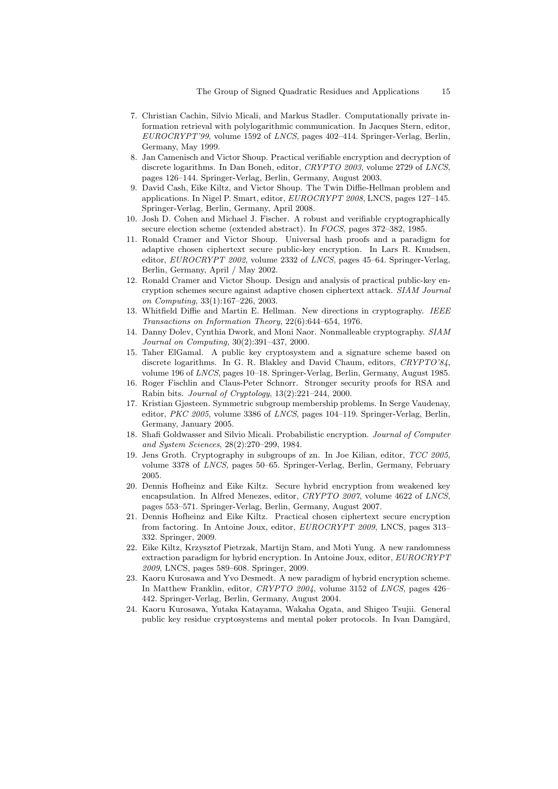- 7. Christian Cachin, Silvio Micali, and Markus Stadler. Computationally private information retrieval with polylogarithmic communication. In Jacques Stern, editor, EUROCRYPT'99, volume 1592 of LNCS, pages 402–414. Springer-Verlag, Berlin, Germany, May 1999.
- 8. Jan Camenisch and Victor Shoup. Practical verifiable encryption and decryption of discrete logarithms. In Dan Boneh, editor, CRYPTO 2003, volume 2729 of LNCS, pages 126–144. Springer-Verlag, Berlin, Germany, August 2003.
- 9. David Cash, Eike Kiltz, and Victor Shoup. The Twin Diffie-Hellman problem and applications. In Nigel P. Smart, editor, EUROCRYPT 2008, LNCS, pages 127–145. Springer-Verlag, Berlin, Germany, April 2008.
- 10. Josh D. Cohen and Michael J. Fischer. A robust and verifiable cryptographically secure election scheme (extended abstract). In FOCS, pages 372–382, 1985.
- 11. Ronald Cramer and Victor Shoup. Universal hash proofs and a paradigm for adaptive chosen ciphertext secure public-key encryption. In Lars R. Knudsen, editor, EUROCRYPT 2002, volume 2332 of LNCS, pages 45–64. Springer-Verlag, Berlin, Germany, April / May 2002.
- 12. Ronald Cramer and Victor Shoup. Design and analysis of practical public-key encryption schemes secure against adaptive chosen ciphertext attack. SIAM Journal on Computing, 33(1):167–226, 2003.
- 13. Whitfield Diffie and Martin E. Hellman. New directions in cryptography. IEEE Transactions on Information Theory, 22(6):644–654, 1976.
- 14. Danny Dolev, Cynthia Dwork, and Moni Naor. Nonmalleable cryptography. SIAM Journal on Computing, 30(2):391–437, 2000.
- 15. Taher ElGamal. A public key cryptosystem and a signature scheme based on discrete logarithms. In G. R. Blakley and David Chaum, editors, CRYPTO'84, volume 196 of LNCS, pages 10–18. Springer-Verlag, Berlin, Germany, August 1985.
- 16. Roger Fischlin and Claus-Peter Schnorr. Stronger security proofs for RSA and Rabin bits. Journal of Cryptology, 13(2):221–244, 2000.
- 17. Kristian Gjøsteen. Symmetric subgroup membership problems. In Serge Vaudenay, editor, PKC 2005, volume 3386 of LNCS, pages 104–119. Springer-Verlag, Berlin, Germany, January 2005.
- 18. Shafi Goldwasser and Silvio Micali. Probabilistic encryption. Journal of Computer and System Sciences, 28(2):270–299, 1984.
- 19. Jens Groth. Cryptography in subgroups of zn. In Joe Kilian, editor, TCC 2005, volume 3378 of LNCS, pages 50–65. Springer-Verlag, Berlin, Germany, February 2005.
- 20. Dennis Hofheinz and Eike Kiltz. Secure hybrid encryption from weakened key encapsulation. In Alfred Menezes, editor, CRYPTO 2007, volume 4622 of LNCS, pages 553–571. Springer-Verlag, Berlin, Germany, August 2007.
- 21. Dennis Hofheinz and Eike Kiltz. Practical chosen ciphertext secure encryption from factoring. In Antoine Joux, editor, EUROCRYPT 2009, LNCS, pages 313– 332. Springer, 2009.
- 22. Eike Kiltz, Krzysztof Pietrzak, Martijn Stam, and Moti Yung. A new randomness extraction paradigm for hybrid encryption. In Antoine Joux, editor, EUROCRYPT 2009, LNCS, pages 589–608. Springer, 2009.
- 23. Kaoru Kurosawa and Yvo Desmedt. A new paradigm of hybrid encryption scheme. In Matthew Franklin, editor, CRYPTO 2004, volume 3152 of LNCS, pages 426– 442. Springer-Verlag, Berlin, Germany, August 2004.
- 24. Kaoru Kurosawa, Yutaka Katayama, Wakaha Ogata, and Shigeo Tsujii. General public key residue cryptosystems and mental poker protocols. In Ivan Damgård,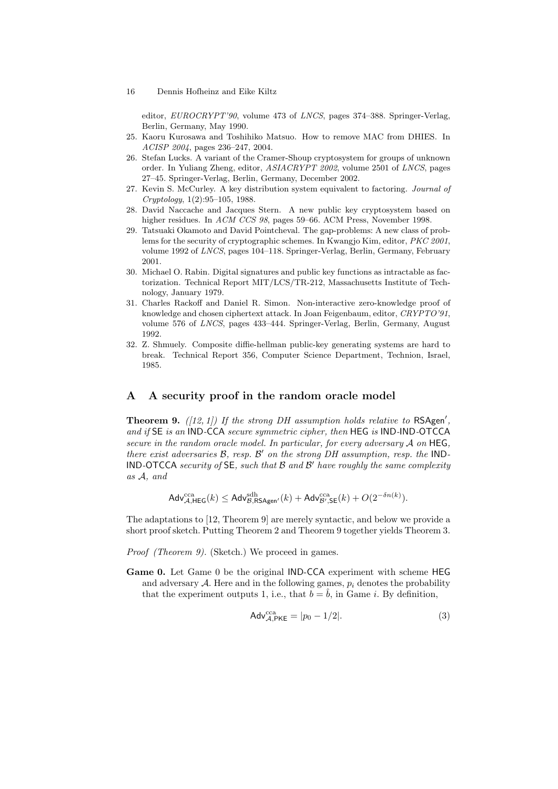editor, EUROCRYPT'90, volume 473 of LNCS, pages 374–388. Springer-Verlag, Berlin, Germany, May 1990.

- 25. Kaoru Kurosawa and Toshihiko Matsuo. How to remove MAC from DHIES. In ACISP 2004, pages 236–247, 2004.
- 26. Stefan Lucks. A variant of the Cramer-Shoup cryptosystem for groups of unknown order. In Yuliang Zheng, editor, ASIACRYPT 2002, volume 2501 of LNCS, pages 27–45. Springer-Verlag, Berlin, Germany, December 2002.
- 27. Kevin S. McCurley. A key distribution system equivalent to factoring. Journal of Cryptology, 1(2):95–105, 1988.
- 28. David Naccache and Jacques Stern. A new public key cryptosystem based on higher residues. In ACM CCS 98, pages 59–66. ACM Press, November 1998.
- 29. Tatsuaki Okamoto and David Pointcheval. The gap-problems: A new class of problems for the security of cryptographic schemes. In Kwangjo Kim, editor, PKC 2001, volume 1992 of LNCS, pages 104–118. Springer-Verlag, Berlin, Germany, February 2001.
- 30. Michael O. Rabin. Digital signatures and public key functions as intractable as factorization. Technical Report MIT/LCS/TR-212, Massachusetts Institute of Technology, January 1979.
- 31. Charles Rackoff and Daniel R. Simon. Non-interactive zero-knowledge proof of knowledge and chosen ciphertext attack. In Joan Feigenbaum, editor, CRYPTO'91, volume 576 of LNCS, pages 433–444. Springer-Verlag, Berlin, Germany, August 1992.
- 32. Z. Shmuely. Composite diffie-hellman public-key generating systems are hard to break. Technical Report 356, Computer Science Department, Technion, Israel, 1985.

# A A security proof in the random oracle model

**Theorem 9.** ([12, 1]) If the strong DH assumption holds relative to  $RSAgen'$ , and if SE is an IND-CCA secure symmetric cipher, then HEG is IND-IND-OTCCA secure in the random oracle model. In particular, for every adversary  $A$  on HEG, there exist adversaries  $\mathcal{B}$ , resp.  $\mathcal{B}'$  on the strong DH assumption, resp. the IND-**IND-OTCCA** security of  $SE$ , such that  $B$  and  $B'$  have roughly the same complexity as A, and

$$
\mathsf{Adv}_{\mathcal{A}, \mathsf{HEG}}^{\text{cca}}(k) \leq \mathsf{Adv}_{\mathcal{B}, \mathsf{RSAgen}'}^{\text{sdh}}(k) + \mathsf{Adv}_{\mathcal{B}', \mathsf{SE}}^{\text{cca}}(k) + O(2^{-\delta n(k)}).
$$

The adaptations to [12, Theorem 9] are merely syntactic, and below we provide a short proof sketch. Putting Theorem 2 and Theorem 9 together yields Theorem 3.

- Proof (Theorem 9). (Sketch.) We proceed in games.
- Game 0. Let Game 0 be the original IND-CCA experiment with scheme HEG and adversary  $A$ . Here and in the following games,  $p_i$  denotes the probability that the experiment outputs 1, i.e., that  $b = \hat{b}$ , in Game *i*. By definition,

$$
Adv_{\mathcal{A},\mathsf{PKE}}^{\text{cca}} = |p_0 - 1/2|.
$$
 (3)